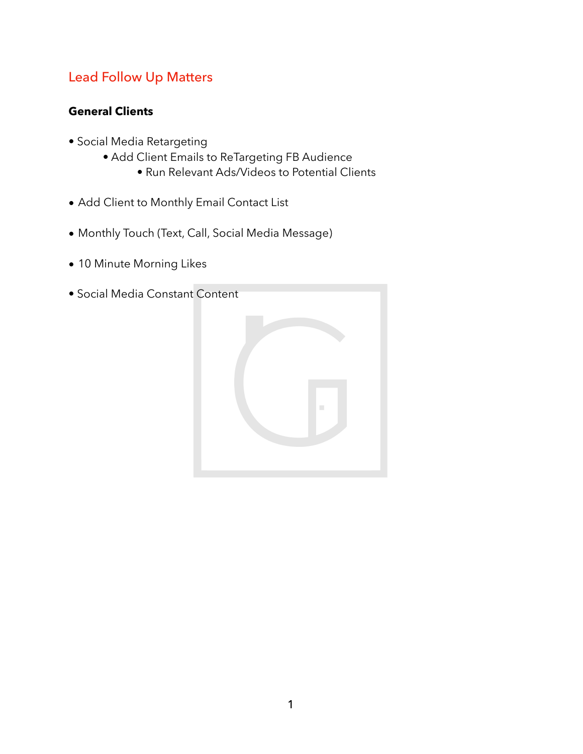# Lead Follow Up Matters

## **General Clients**

- Social Media Retargeting
	- Add Client Emails to ReTargeting FB Audience
		- Run Relevant Ads/Videos to Potential Clients
- Add Client to Monthly Email Contact List
- Monthly Touch (Text, Call, Social Media Message)
- 10 Minute Morning Likes
- Social Media Constant Content

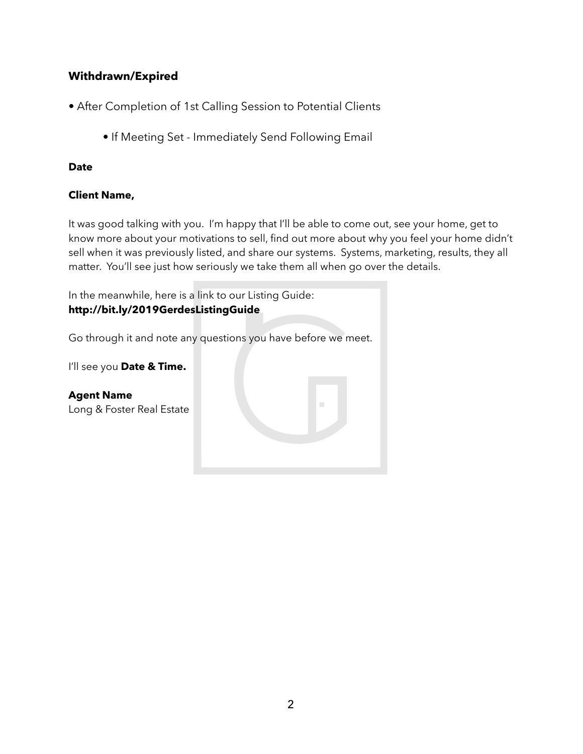## **Withdrawn/Expired**

- After Completion of 1st Calling Session to Potential Clients
	- If Meeting Set Immediately Send Following Email

### **Date**

## **Client Name,**

It was good talking with you. I'm happy that I'll be able to come out, see your home, get to know more about your motivations to sell, find out more about why you feel your home didn't sell when it was previously listed, and share our systems. Systems, marketing, results, they all matter. You'll see just how seriously we take them all when go over the details.

In the meanwhile, here is a link to our Listing Guide: **http://bit.ly/2019GerdesListingGuide** 

Go through it and note any questions you have before we meet.

I'll see you **Date & Time.** 

**Agent Name** Long & Foster Real Estate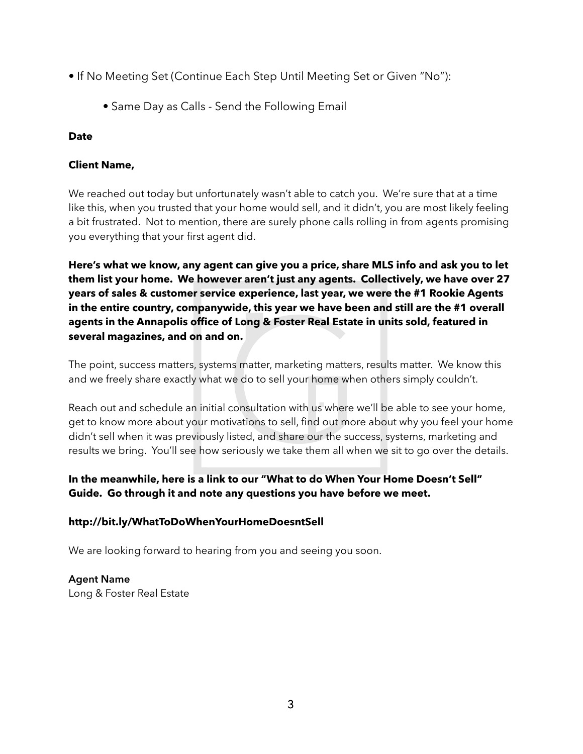- If No Meeting Set (Continue Each Step Until Meeting Set or Given "No"):
	- Same Day as Calls Send the Following Email

## **Date**

## **Client Name,**

We reached out today but unfortunately wasn't able to catch you. We're sure that at a time like this, when you trusted that your home would sell, and it didn't, you are most likely feeling a bit frustrated. Not to mention, there are surely phone calls rolling in from agents promising you everything that your first agent did.

**Here's what we know, any agent can give you a price, share MLS info and ask you to let them list your home. We however aren't just any agents. Collectively, we have over 27 years of sales & customer service experience, last year, we were the #1 Rookie Agents in the entire country, companywide, this year we have been and still are the #1 overall agents in the Annapolis office of Long & Foster Real Estate in units sold, featured in several magazines, and on and on.** 

The point, success matters, systems matter, marketing matters, results matter. We know this and we freely share exactly what we do to sell your home when others simply couldn't.

Reach out and schedule an initial consultation with us where we'll be able to see your home, get to know more about your motivations to sell, find out more about why you feel your home didn't sell when it was previously listed, and share our the success, systems, marketing and results we bring. You'll see how seriously we take them all when we sit to go over the details.

## **In the meanwhile, here is a link to our "What to do When Your Home Doesn't Sell" Guide. Go through it and note any questions you have before we meet.**

#### **http://bit.ly/WhatToDoWhenYourHomeDoesntSell**

We are looking forward to hearing from you and seeing you soon.

## **Agent Name**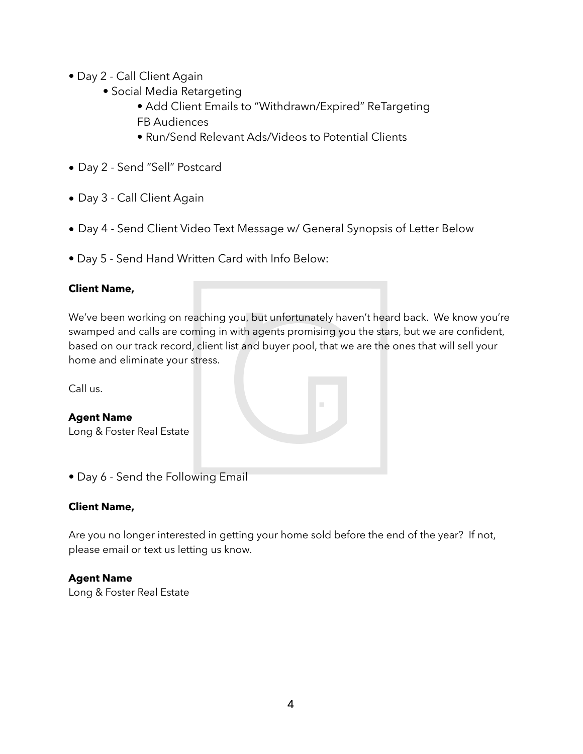- Day 2 Call Client Again
	- Social Media Retargeting
		- Add Client Emails to "Withdrawn/Expired" ReTargeting FB Audiences
		- Run/Send Relevant Ads/Videos to Potential Clients
- Day 2 Send "Sell" Postcard
- Day 3 Call Client Again
- Day 4 Send Client Video Text Message w/ General Synopsis of Letter Below
- Day 5 Send Hand Written Card with Info Below:

## **Client Name,**

We've been working on reaching you, but unfortunately haven't heard back. We know you're swamped and calls are coming in with agents promising you the stars, but we are confident, based on our track record, client list and buyer pool, that we are the ones that will sell your home and eliminate your stress.

Call us.

| <b>Agent Name</b><br>Long & Foster Real Estate | п |
|------------------------------------------------|---|
| • Day 6 - Send the Following Email             |   |

#### **Client Name,**

Are you no longer interested in getting your home sold before the end of the year? If not, please email or text us letting us know.

#### **Agent Name**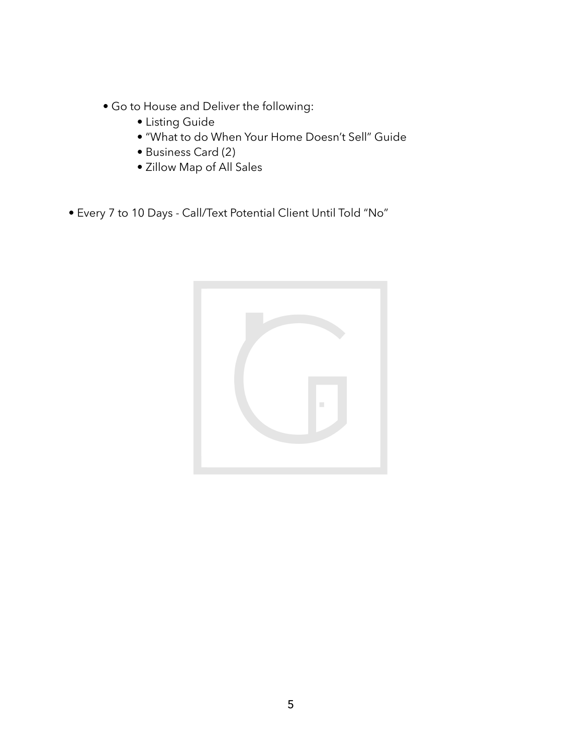- Go to House and Deliver the following:
	- Listing Guide
	- "What to do When Your Home Doesn't Sell" Guide
	- Business Card (2)
	- Zillow Map of All Sales
- Every 7 to 10 Days Call/Text Potential Client Until Told "No"

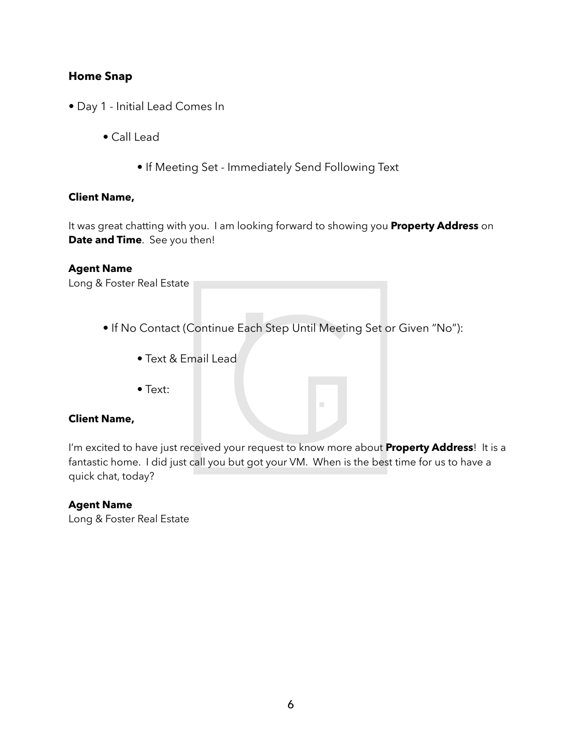## **Home Snap**

- Day 1 Initial Lead Comes In
	- Call Lead
		- If Meeting Set Immediately Send Following Text

#### **Client Name,**

It was great chatting with you. I am looking forward to showing you **Property Address** on **Date and Time**. See you then!

#### **Agent Name**

Long & Foster Real Estate

- If No Contact (Continue Each Step Until Meeting Set or Given "No"):
	- Text & Email Lead
	- Text:

#### **Client Name,**

I'm excited to have just received your request to know more about **Property Address**! It is a fantastic home. I did just call you but got your VM. When is the best time for us to have a quick chat, today?

#### **Agent Name**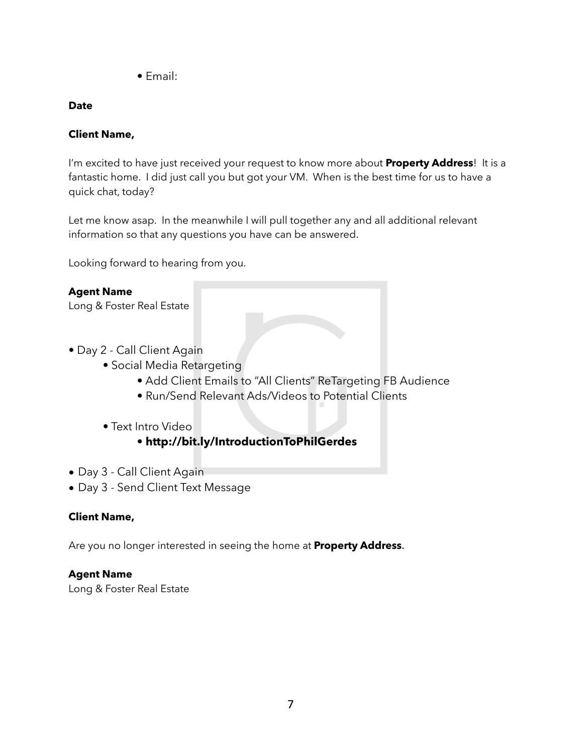• Email:

## **Date**

## **Client Name,**

I'm excited to have just received your request to know more about **Property Address**! It is a fantastic home. I did just call you but got your VM. When is the best time for us to have a quick chat, today?

Let me know asap. In the meanwhile I will pull together any and all additional relevant information so that any questions you have can be answered.

Looking forward to hearing from you.

## **Agent Name**

Long & Foster Real Estate

- Day 2 Call Client Again
	- Social Media Retargeting
		- Add Client Emails to "All Clients" ReTargeting FB Audience
		- Run/Send Relevant Ads/Videos to Potential Clients
	- Text Intro Video
		- **http://bit.ly/IntroductionToPhilGerdes**
- Day 3 Call Client Again
- Day 3 Send Client Text Message

## **Client Name,**

Are you no longer interested in seeing the home at **Property Address**.

## **Agent Name**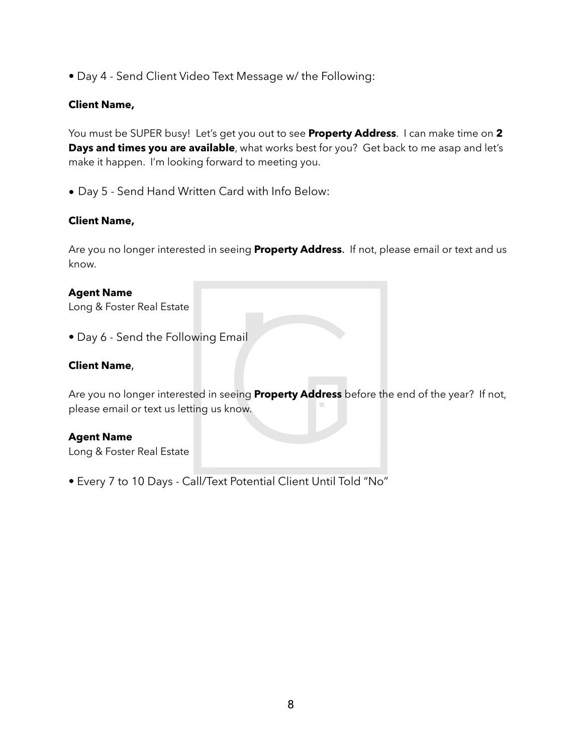• Day 4 - Send Client Video Text Message w/ the Following:

#### **Client Name,**

You must be SUPER busy! Let's get you out to see **Property Address**. I can make time on **2 Days and times you are available**, what works best for you? Get back to me asap and let's make it happen. I'm looking forward to meeting you.

• Day 5 - Send Hand Written Card with Info Below:

#### **Client Name,**

Are you no longer interested in seeing **Property Address**. If not, please email or text and us know.

#### **Agent Name**

Long & Foster Real Estate

• Day 6 - Send the Following Email

#### **Client Name**,

Are you no longer interested in seeing **Property Address** before the end of the year? If not, please email or text us letting us know.

#### **Agent Name**

Long & Foster Real Estate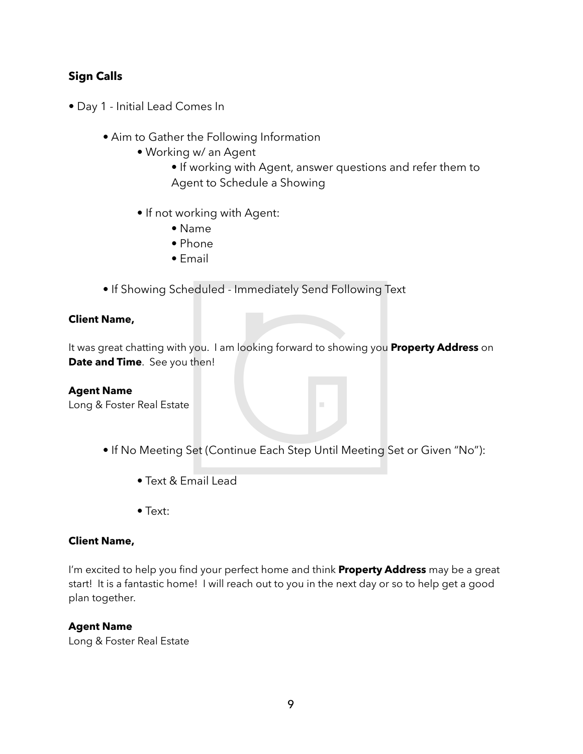## **Sign Calls**

- Day 1 Initial Lead Comes In
	- Aim to Gather the Following Information
		- Working w/ an Agent
			- If working with Agent, answer questions and refer them to Agent to Schedule a Showing
		- If not working with Agent:
			- Name
			- Phone
			- Email
	- If Showing Scheduled Immediately Send Following Text

#### **Client Name,**

It was great chatting with you. I am looking forward to showing you **Property Address** on **Date and Time**. See you then!

#### **Agent Name**

Long & Foster Real Estate

- If No Meeting Set (Continue Each Step Until Meeting Set or Given "No"):
	- Text & Email Lead
	- Text:

#### **Client Name,**

I'm excited to help you find your perfect home and think **Property Address** may be a great start! It is a fantastic home! I will reach out to you in the next day or so to help get a good plan together.

#### **Agent Name**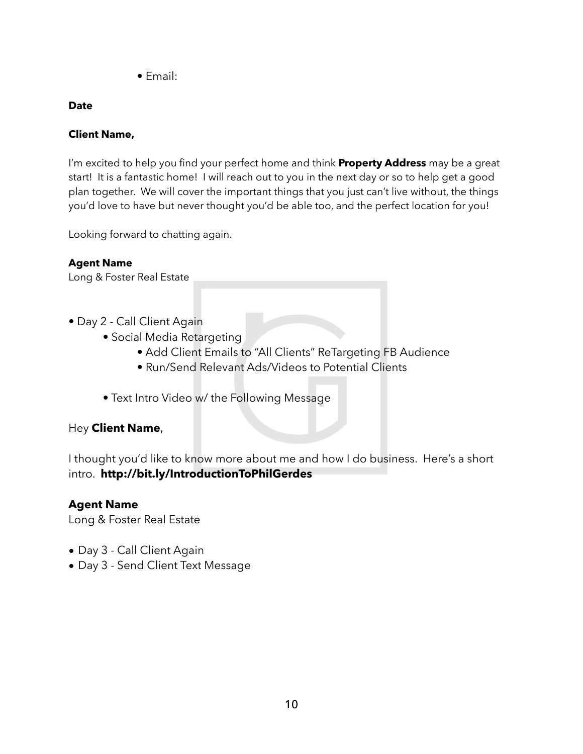• Email:

## **Date**

## **Client Name,**

I'm excited to help you find your perfect home and think **Property Address** may be a great start! It is a fantastic home! I will reach out to you in the next day or so to help get a good plan together. We will cover the important things that you just can't live without, the things you'd love to have but never thought you'd be able too, and the perfect location for you!

Looking forward to chatting again.

## **Agent Name**

Long & Foster Real Estate

- Day 2 Call Client Again
	- Social Media Retargeting
		- Add Client Emails to "All Clients" ReTargeting FB Audience
		- Run/Send Relevant Ads/Videos to Potential Clients
	- Text Intro Video w/ the Following Message

## Hey **Client Name**,

I thought you'd like to know more about me and how I do business. Here's a short intro. **http://bit.ly/IntroductionToPhilGerdes** 

## **Agent Name**

- Day 3 Call Client Again
- Day 3 Send Client Text Message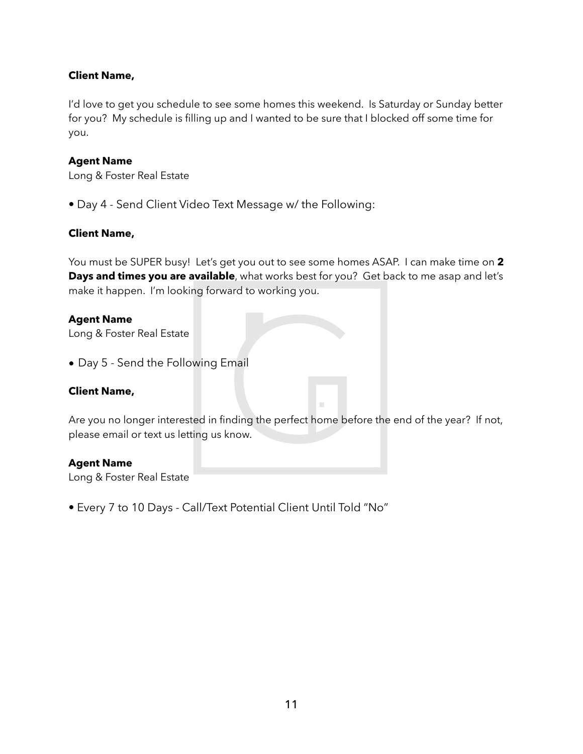#### **Client Name,**

I'd love to get you schedule to see some homes this weekend. Is Saturday or Sunday better for you? My schedule is filling up and I wanted to be sure that I blocked off some time for you.

#### **Agent Name**

Long & Foster Real Estate

• Day 4 - Send Client Video Text Message w/ the Following:

#### **Client Name,**

You must be SUPER busy! Let's get you out to see some homes ASAP. I can make time on **2 Days and times you are available**, what works best for you? Get back to me asap and let's make it happen. I'm looking forward to working you.

#### **Agent Name**

Long & Foster Real Estate

• Day 5 - Send the Following Email

#### **Client Name,**

Are you no longer interested in finding the perfect home before the end of the year? If not, please email or text us letting us know.

#### **Agent Name**

Long & Foster Real Estate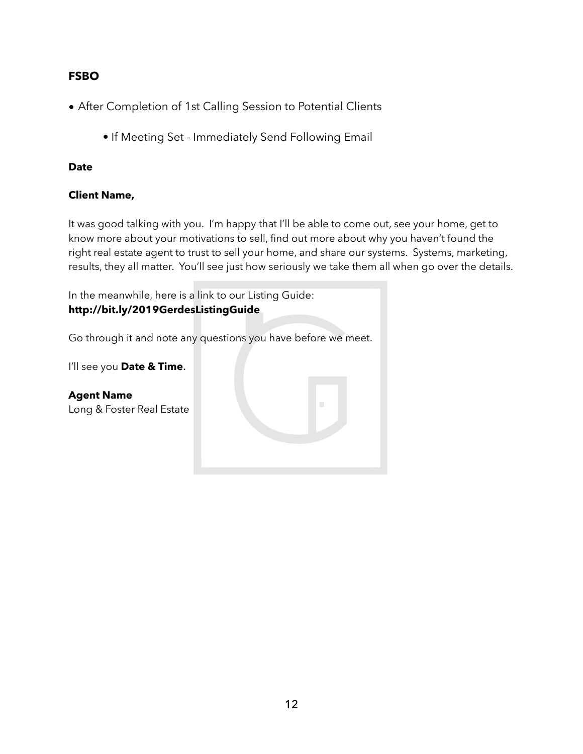## **FSBO**

- After Completion of 1st Calling Session to Potential Clients
	- If Meeting Set Immediately Send Following Email

### **Date**

## **Client Name,**

It was good talking with you. I'm happy that I'll be able to come out, see your home, get to know more about your motivations to sell, find out more about why you haven't found the right real estate agent to trust to sell your home, and share our systems. Systems, marketing, results, they all matter. You'll see just how seriously we take them all when go over the details.

In the meanwhile, here is a link to our Listing Guide: **http://bit.ly/2019GerdesListingGuide**  Go through it and note any questions you have before we meet.

I'll see you **Date & Time**.

**Agent Name** Long & Foster Real Estate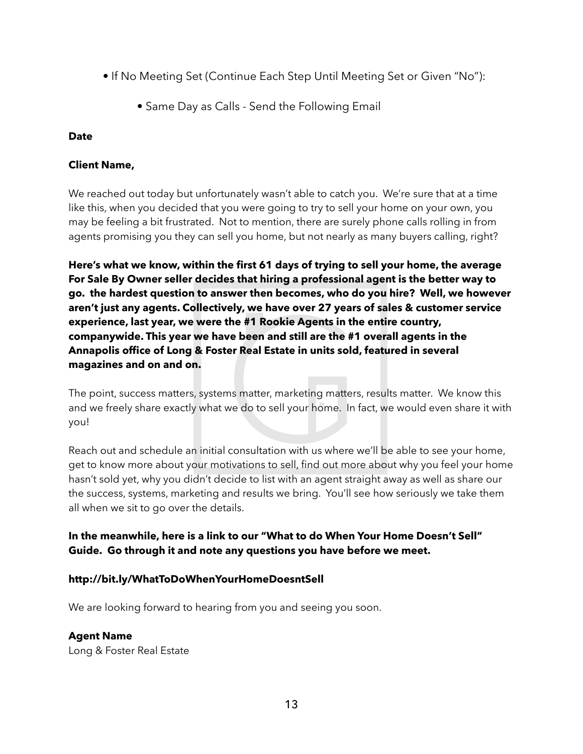- If No Meeting Set (Continue Each Step Until Meeting Set or Given "No"):
	- Same Day as Calls Send the Following Email

#### **Date**

## **Client Name,**

We reached out today but unfortunately wasn't able to catch you. We're sure that at a time like this, when you decided that you were going to try to sell your home on your own, you may be feeling a bit frustrated. Not to mention, there are surely phone calls rolling in from agents promising you they can sell you home, but not nearly as many buyers calling, right?

**Here's what we know, within the first 61 days of trying to sell your home, the average For Sale By Owner seller decides that hiring a professional agent is the better way to go. the hardest question to answer then becomes, who do you hire? Well, we however aren't just any agents. Collectively, we have over 27 years of sales & customer service experience, last year, we were the #1 Rookie Agents in the entire country, companywide. This year we have been and still are the #1 overall agents in the Annapolis office of Long & Foster Real Estate in units sold, featured in several magazines and on and on.** 

The point, success matters, systems matter, marketing matters, results matter. We know this and we freely share exactly what we do to sell your home. In fact, we would even share it with you!

Reach out and schedule an initial consultation with us where we'll be able to see your home, get to know more about your motivations to sell, find out more about why you feel your home hasn't sold yet, why you didn't decide to list with an agent straight away as well as share our the success, systems, marketing and results we bring. You'll see how seriously we take them all when we sit to go over the details.

## **In the meanwhile, here is a link to our "What to do When Your Home Doesn't Sell" Guide. Go through it and note any questions you have before we meet.**

## **http://bit.ly/WhatToDoWhenYourHomeDoesntSell**

We are looking forward to hearing from you and seeing you soon.

## **Agent Name**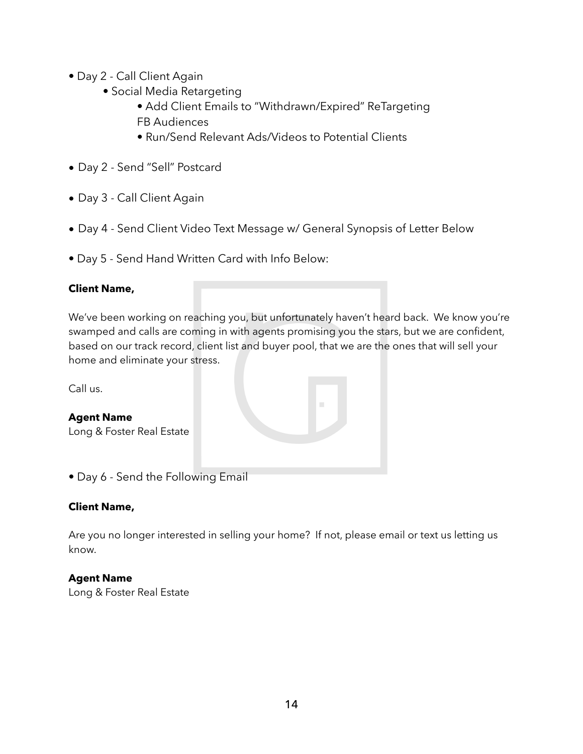- Day 2 Call Client Again
	- Social Media Retargeting
		- Add Client Emails to "Withdrawn/Expired" ReTargeting FB Audiences
		- Run/Send Relevant Ads/Videos to Potential Clients
- Day 2 Send "Sell" Postcard
- Day 3 Call Client Again
- Day 4 Send Client Video Text Message w/ General Synopsis of Letter Below
- Day 5 Send Hand Written Card with Info Below:

## **Client Name,**

We've been working on reaching you, but unfortunately haven't heard back. We know you're swamped and calls are coming in with agents promising you the stars, but we are confident, based on our track record, client list and buyer pool, that we are the ones that will sell your home and eliminate your stress.

Call us.

| <b>Agent Name</b><br>Long & Foster Real Estate |  |
|------------------------------------------------|--|
| • Day 6 - Send the Following Email             |  |

#### **Client Name,**

Are you no longer interested in selling your home? If not, please email or text us letting us know.

#### **Agent Name**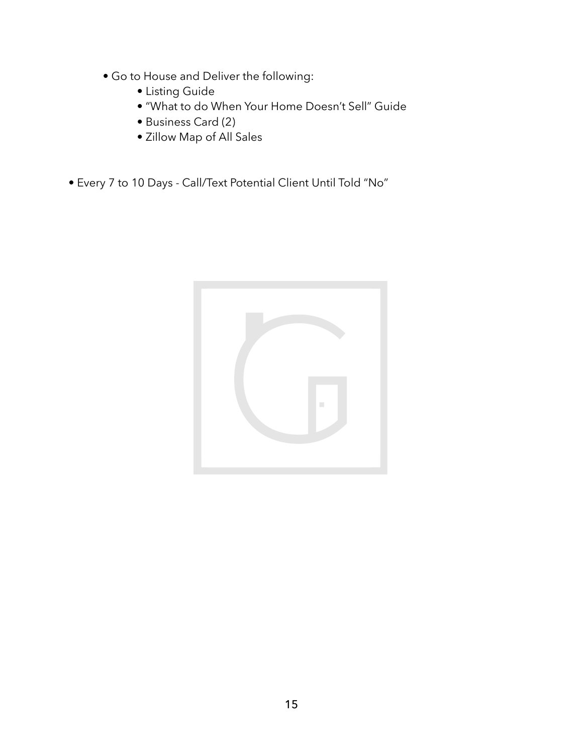- Go to House and Deliver the following:
	- Listing Guide
	- "What to do When Your Home Doesn't Sell" Guide
	- Business Card (2)
	- Zillow Map of All Sales
- Every 7 to 10 Days Call/Text Potential Client Until Told "No"

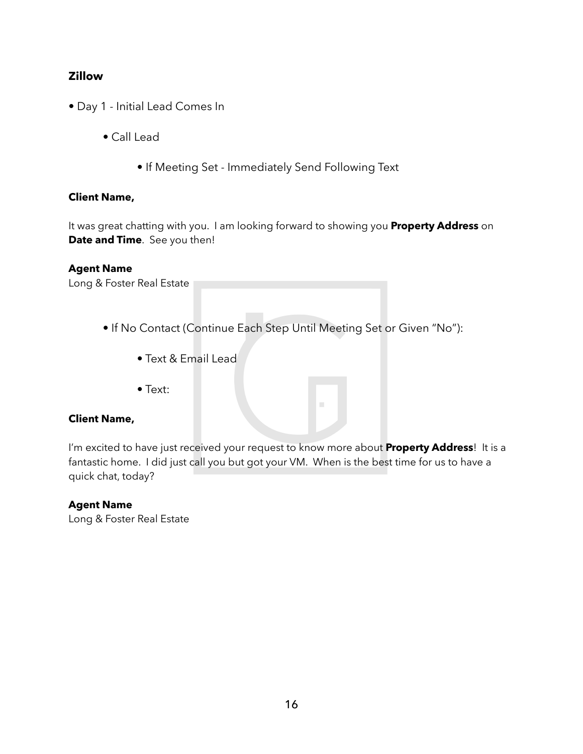## **Zillow**

- Day 1 Initial Lead Comes In
	- Call Lead
		- If Meeting Set Immediately Send Following Text

#### **Client Name,**

It was great chatting with you. I am looking forward to showing you **Property Address** on **Date and Time**. See you then!

#### **Agent Name**

Long & Foster Real Estate

- If No Contact (Continue Each Step Until Meeting Set or Given "No"):
	- Text & Email Lead
	- Text:

#### **Client Name,**

I'm excited to have just received your request to know more about **Property Address**! It is a fantastic home. I did just call you but got your VM. When is the best time for us to have a quick chat, today?

#### **Agent Name**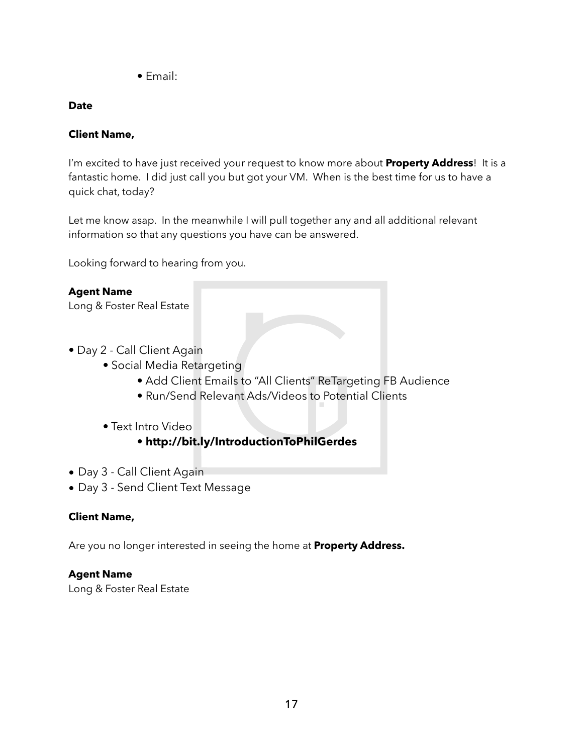• Email:

## **Date**

## **Client Name,**

I'm excited to have just received your request to know more about **Property Address**! It is a fantastic home. I did just call you but got your VM. When is the best time for us to have a quick chat, today?

Let me know asap. In the meanwhile I will pull together any and all additional relevant information so that any questions you have can be answered.

Looking forward to hearing from you.

## **Agent Name**

Long & Foster Real Estate

- Day 2 Call Client Again
	- Social Media Retargeting
		- Add Client Emails to "All Clients" ReTargeting FB Audience
		- Run/Send Relevant Ads/Videos to Potential Clients
	- Text Intro Video
		- **http://bit.ly/IntroductionToPhilGerdes**
- Day 3 Call Client Again
- Day 3 Send Client Text Message

## **Client Name,**

Are you no longer interested in seeing the home at **Property Address.**

## **Agent Name**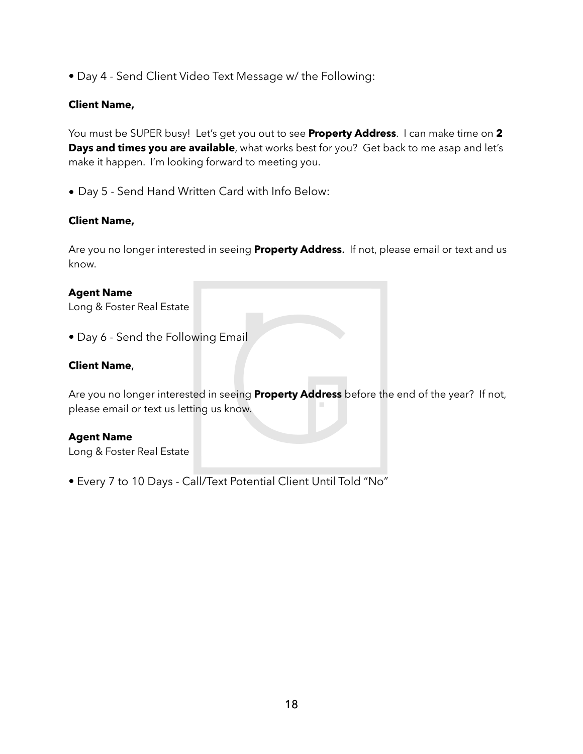• Day 4 - Send Client Video Text Message w/ the Following:

#### **Client Name,**

You must be SUPER busy! Let's get you out to see **Property Address**. I can make time on **2 Days and times you are available**, what works best for you? Get back to me asap and let's make it happen. I'm looking forward to meeting you.

• Day 5 - Send Hand Written Card with Info Below:

#### **Client Name,**

Are you no longer interested in seeing **Property Address**. If not, please email or text and us know.

#### **Agent Name**

Long & Foster Real Estate

• Day 6 - Send the Following Email

#### **Client Name**,

Are you no longer interested in seeing **Property Address** before the end of the year? If not, please email or text us letting us know.

#### **Agent Name**

Long & Foster Real Estate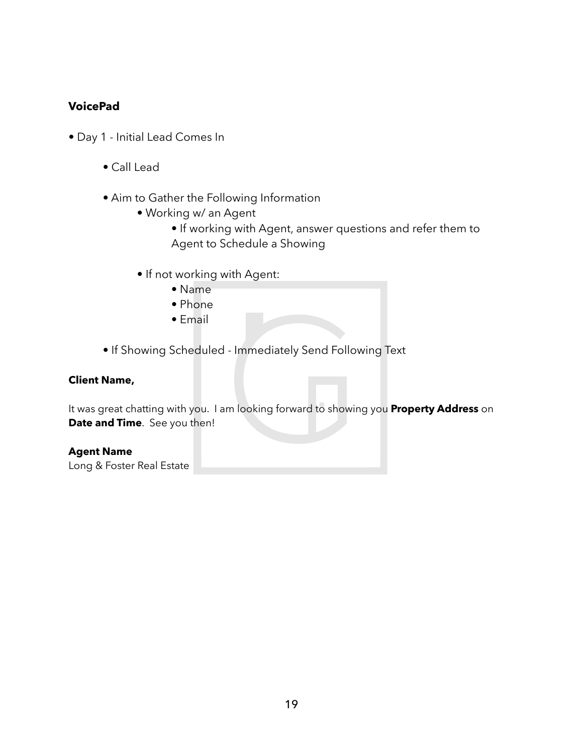## **VoicePad**

- Day 1 Initial Lead Comes In
	- Call Lead
	- Aim to Gather the Following Information
		- Working w/ an Agent
			- If working with Agent, answer questions and refer them to Agent to Schedule a Showing
		- If not working with Agent:
			- Name
			- Phone
			- Email
	- If Showing Scheduled Immediately Send Following Text

#### **Client Name,**

It was great chatting with you. I am looking forward to showing you **Property Address** on **Date and Time**. See you then!

#### **Agent Name**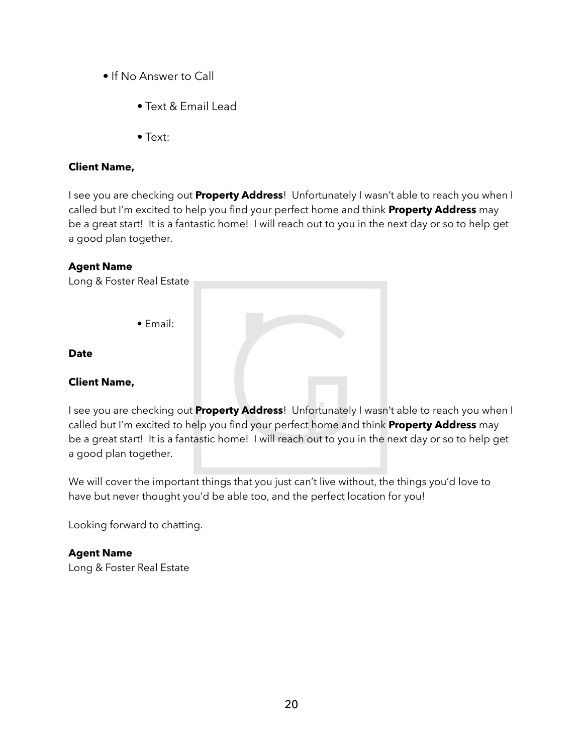- If No Answer to Call
	- Text & Email Lead
	- Text:

#### **Client Name,**

I see you are checking out **Property Address**! Unfortunately I wasn't able to reach you when I called but I'm excited to help you find your perfect home and think **Property Address** may be a great start! It is a fantastic home! I will reach out to you in the next day or so to help get a good plan together.

#### **Agent Name**

| Long & Foster Real Estate |  |
|---------------------------|--|
|                           |  |
| $\bullet$ Email:          |  |
|                           |  |
| <b>Date</b>               |  |
| <b>Client Name,</b>       |  |

I see you are checking out **Property Address**! Unfortunately I wasn't able to reach you when I called but I'm excited to help you find your perfect home and think **Property Address** may be a great start! It is a fantastic home! I will reach out to you in the next day or so to help get a good plan together.

We will cover the important things that you just can't live without, the things you'd love to have but never thought you'd be able too, and the perfect location for you!

Looking forward to chatting.

## **Agent Name**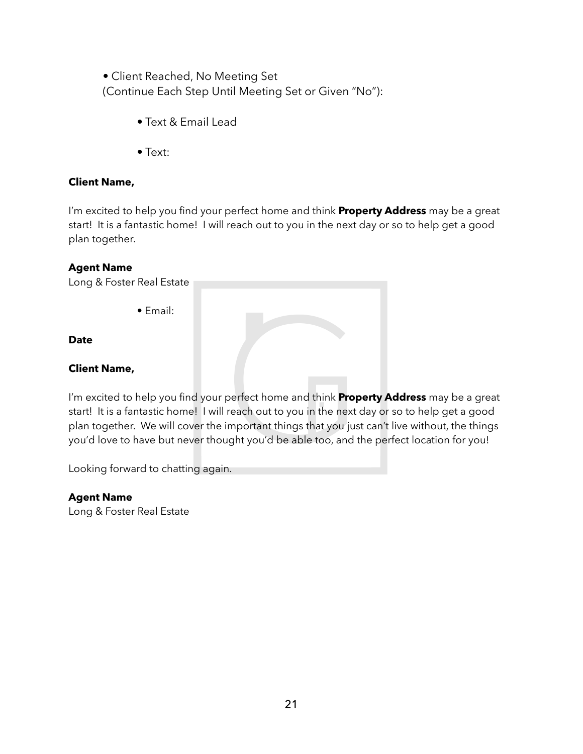• Client Reached, No Meeting Set (Continue Each Step Until Meeting Set or Given "No"):

- Text & Email Lead
- Text:

### **Client Name,**

I'm excited to help you find your perfect home and think **Property Address** may be a great start! It is a fantastic home! I will reach out to you in the next day or so to help get a good plan together.

#### **Agent Name**

Long & Foster Real Estate

• Email:

#### **Date**

#### **Client Name,**

I'm excited to help you find your perfect home and think **Property Address** may be a great start! It is a fantastic home! I will reach out to you in the next day or so to help get a good plan together. We will cover the important things that you just can't live without, the things you'd love to have but never thought you'd be able too, and the perfect location for you!

Looking forward to chatting again.

#### **Agent Name**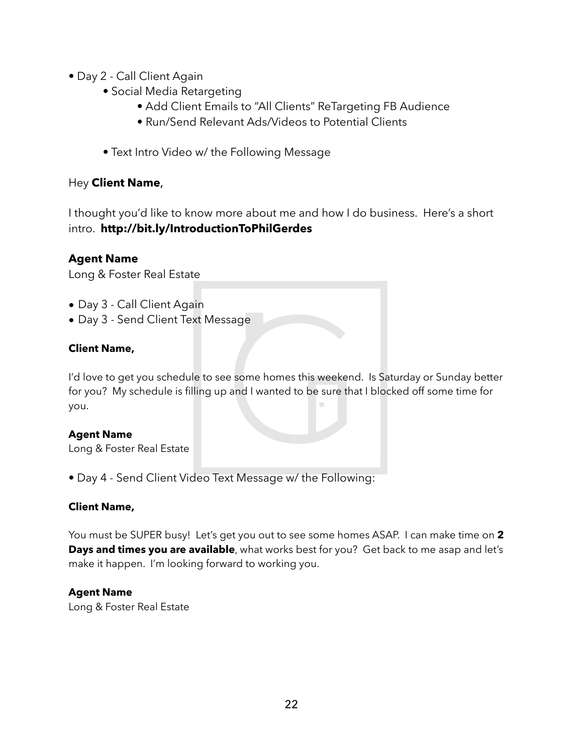- Day 2 Call Client Again
	- Social Media Retargeting
		- Add Client Emails to "All Clients" ReTargeting FB Audience
		- Run/Send Relevant Ads/Videos to Potential Clients
	- Text Intro Video w/ the Following Message

## Hey **Client Name**,

I thought you'd like to know more about me and how I do business. Here's a short intro. **http://bit.ly/IntroductionToPhilGerdes** 

## **Agent Name**

Long & Foster Real Estate

- Day 3 Call Client Again
- Day 3 Send Client Text Message

## **Client Name,**

I'd love to get you schedule to see some homes this weekend. Is Saturday or Sunday better for you? My schedule is filling up and I wanted to be sure that I blocked off some time for you.

#### **Agent Name**

Long & Foster Real Estate

• Day 4 - Send Client Video Text Message w/ the Following:

#### **Client Name,**

You must be SUPER busy! Let's get you out to see some homes ASAP. I can make time on **2 Days and times you are available**, what works best for you? Get back to me asap and let's make it happen. I'm looking forward to working you.

#### **Agent Name**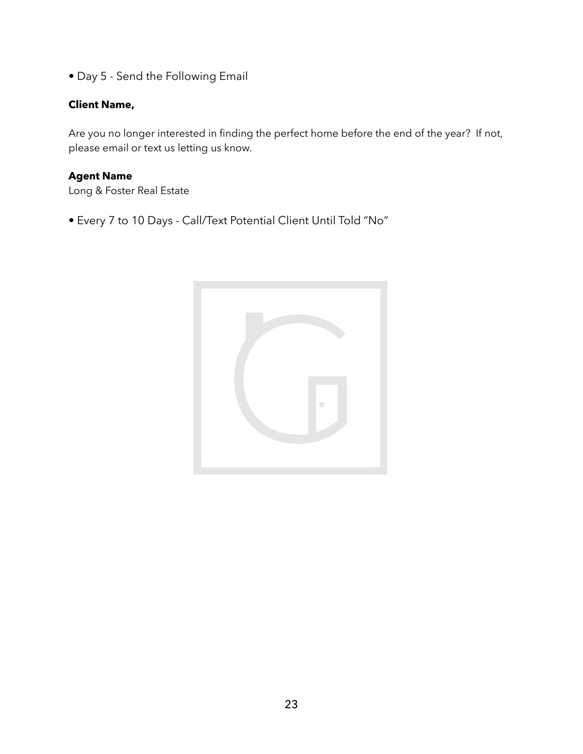• Day 5 - Send the Following Email

#### **Client Name,**

Are you no longer interested in finding the perfect home before the end of the year? If not, please email or text us letting us know.

## **Agent Name**

Long & Foster Real Estate

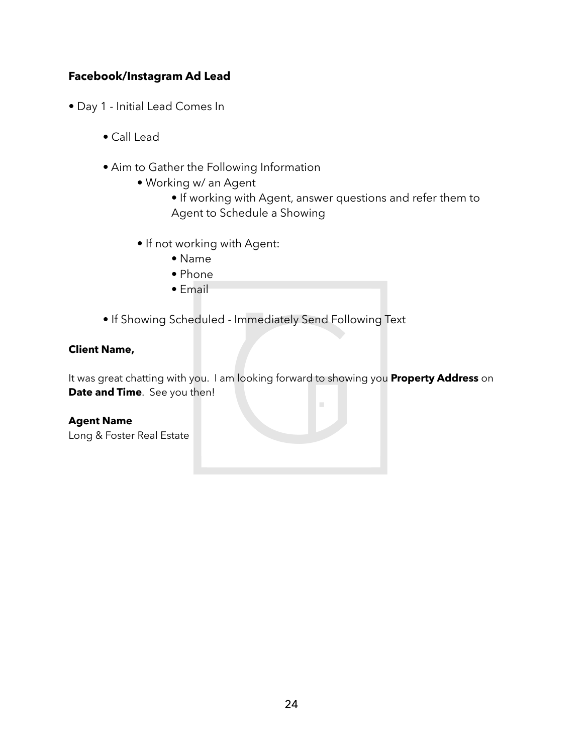## **Facebook/Instagram Ad Lead**

- Day 1 Initial Lead Comes In
	- Call Lead
	- Aim to Gather the Following Information
		- Working w/ an Agent
			- If working with Agent, answer questions and refer them to Agent to Schedule a Showing
		- If not working with Agent:
			- Name
			- Phone
			- Email
	- If Showing Scheduled Immediately Send Following Text

#### **Client Name,**

It was great chatting with you. I am looking forward to showing you **Property Address** on **Date and Time**. See you then!

Ē,

#### **Agent Name**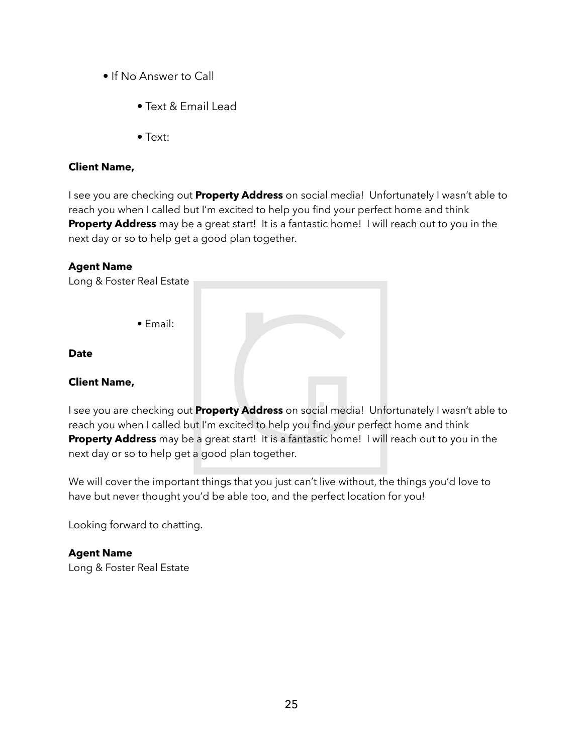- If No Answer to Call
	- Text & Email Lead
	- Text:

#### **Client Name,**

I see you are checking out **Property Address** on social media! Unfortunately I wasn't able to reach you when I called but I'm excited to help you find your perfect home and think **Property Address** may be a great start! It is a fantastic home! I will reach out to you in the next day or so to help get a good plan together.

#### **Agent Name**

Long & Foster Real Estate • Email: **Date Client Name,** 

I see you are checking out **Property Address** on social media! Unfortunately I wasn't able to reach you when I called but I'm excited to help you find your perfect home and think **Property Address** may be a great start! It is a fantastic home! I will reach out to you in the next day or so to help get a good plan together.

We will cover the important things that you just can't live without, the things you'd love to have but never thought you'd be able too, and the perfect location for you!

Looking forward to chatting.

## **Agent Name**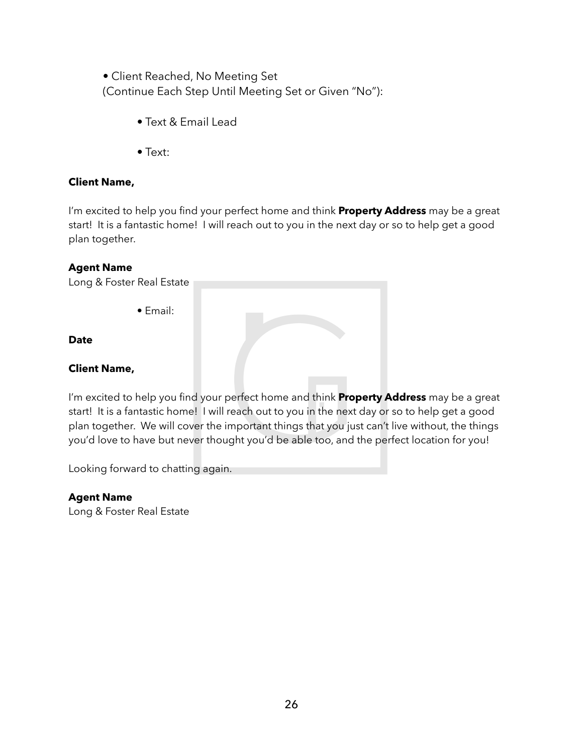• Client Reached, No Meeting Set (Continue Each Step Until Meeting Set or Given "No"):

- Text & Email Lead
- Text:

### **Client Name,**

I'm excited to help you find your perfect home and think **Property Address** may be a great start! It is a fantastic home! I will reach out to you in the next day or so to help get a good plan together.

#### **Agent Name**

Long & Foster Real Estate

• Email:

#### **Date**

#### **Client Name,**

I'm excited to help you find your perfect home and think **Property Address** may be a great start! It is a fantastic home! I will reach out to you in the next day or so to help get a good plan together. We will cover the important things that you just can't live without, the things you'd love to have but never thought you'd be able too, and the perfect location for you!

Looking forward to chatting again.

#### **Agent Name**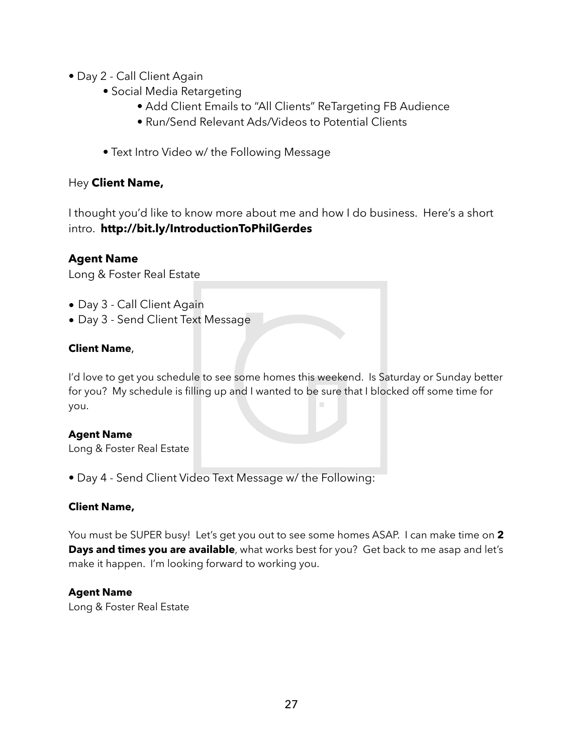- Day 2 Call Client Again
	- Social Media Retargeting
		- Add Client Emails to "All Clients" ReTargeting FB Audience
		- Run/Send Relevant Ads/Videos to Potential Clients
	- Text Intro Video w/ the Following Message

## Hey **Client Name,**

I thought you'd like to know more about me and how I do business. Here's a short intro. **http://bit.ly/IntroductionToPhilGerdes** 

## **Agent Name**

Long & Foster Real Estate

- Day 3 Call Client Again
- Day 3 Send Client Text Message

## **Client Name**,

I'd love to get you schedule to see some homes this weekend. Is Saturday or Sunday better for you? My schedule is filling up and I wanted to be sure that I blocked off some time for you.

#### **Agent Name**

Long & Foster Real Estate

• Day 4 - Send Client Video Text Message w/ the Following:

#### **Client Name,**

You must be SUPER busy! Let's get you out to see some homes ASAP. I can make time on **2 Days and times you are available**, what works best for you? Get back to me asap and let's make it happen. I'm looking forward to working you.

#### **Agent Name**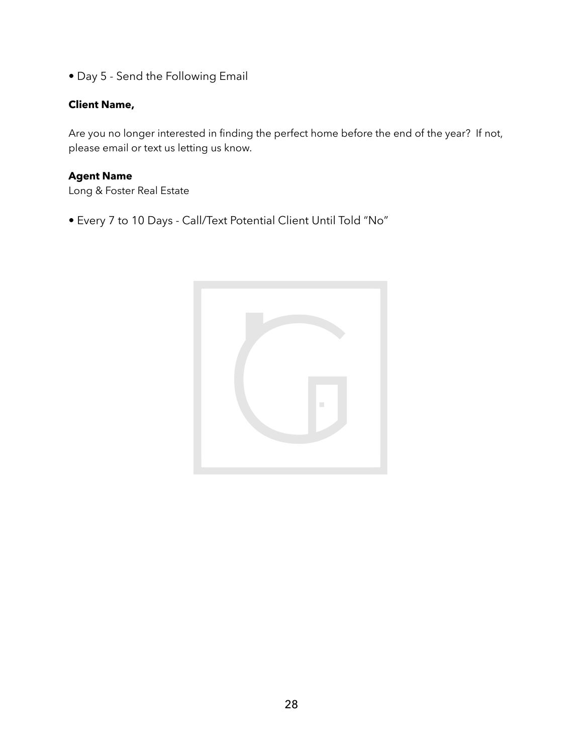• Day 5 - Send the Following Email

#### **Client Name,**

Are you no longer interested in finding the perfect home before the end of the year? If not, please email or text us letting us know.

## **Agent Name**

Long & Foster Real Estate

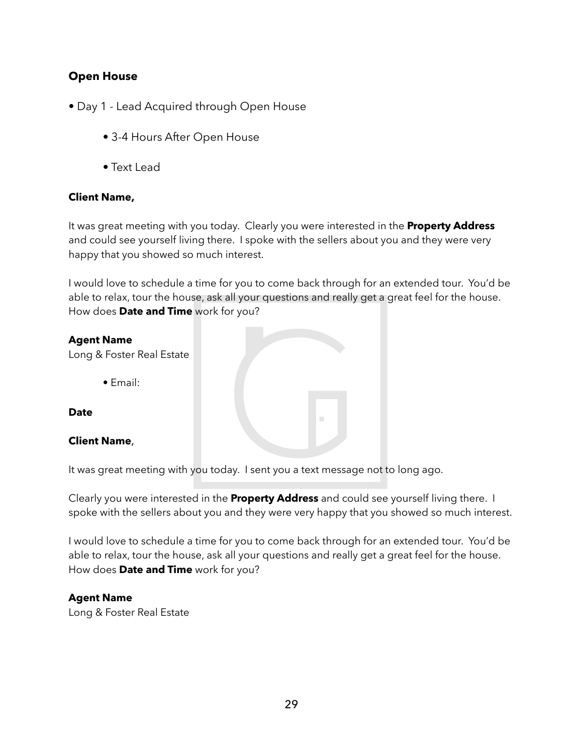## **Open House**

- Day 1 Lead Acquired through Open House
	- 3-4 Hours After Open House
	- Text Lead

#### **Client Name,**

It was great meeting with you today. Clearly you were interested in the **Property Address** and could see yourself living there. I spoke with the sellers about you and they were very happy that you showed so much interest.

I would love to schedule a time for you to come back through for an extended tour. You'd be able to relax, tour the house, ask all your questions and really get a great feel for the house. How does **Date and Time** work for you?

#### **Agent Name**

Long & Foster Real Estate

• Email:

**Date** 

#### **Client Name**,

It was great meeting with you today. I sent you a text message not to long ago.

Clearly you were interested in the **Property Address** and could see yourself living there. I spoke with the sellers about you and they were very happy that you showed so much interest.

I would love to schedule a time for you to come back through for an extended tour. You'd be able to relax, tour the house, ask all your questions and really get a great feel for the house. How does **Date and Time** work for you?

#### **Agent Name**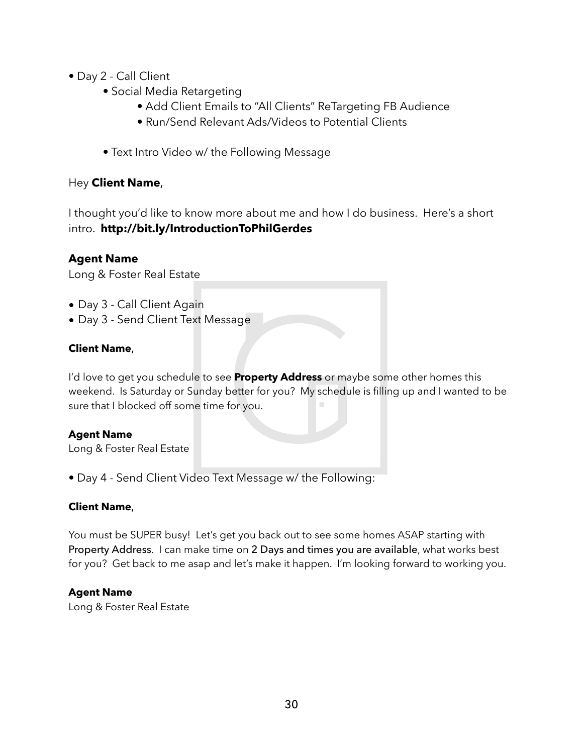- Day 2 Call Client
	- Social Media Retargeting
		- Add Client Emails to "All Clients" ReTargeting FB Audience
		- Run/Send Relevant Ads/Videos to Potential Clients
	- Text Intro Video w/ the Following Message

## Hey **Client Name**,

I thought you'd like to know more about me and how I do business. Here's a short intro. **http://bit.ly/IntroductionToPhilGerdes**

## **Agent Name**

Long & Foster Real Estate

- Day 3 Call Client Again
- Day 3 Send Client Text Message

## **Client Name**,

I'd love to get you schedule to see **Property Address** or maybe some other homes this weekend. Is Saturday or Sunday better for you? My schedule is filling up and I wanted to be sure that I blocked off some time for you.

#### **Agent Name**

Long & Foster Real Estate

• Day 4 - Send Client Video Text Message w/ the Following:

#### **Client Name**,

You must be SUPER busy! Let's get you back out to see some homes ASAP starting with Property Address. I can make time on 2 Days and times you are available, what works best for you? Get back to me asap and let's make it happen. I'm looking forward to working you.

#### **Agent Name**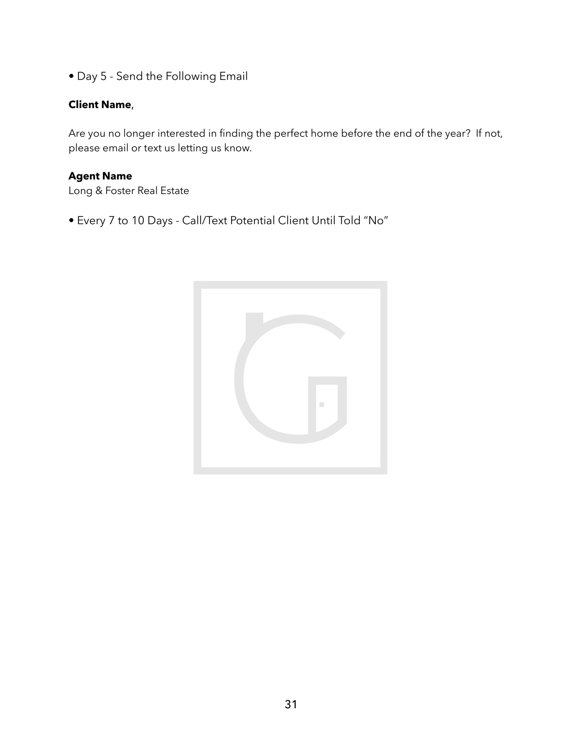• Day 5 - Send the Following Email

#### **Client Name**,

Are you no longer interested in finding the perfect home before the end of the year? If not, please email or text us letting us know.

## **Agent Name**

Long & Foster Real Estate